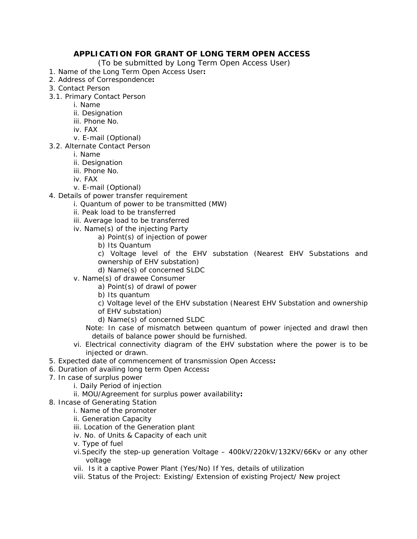## **APPLICATION FOR GRANT OF LONG TERM OPEN ACCESS**

(To be submitted by Long Term Open Access User)

- 1. Name of the Long Term Open Access User**:**
- 2. Address of Correspondence**:**
- 3. Contact Person
- 3.1. Primary Contact Person
	- i. Name
	- ii. Designation
	- iii. Phone No.
	- iv. FAX
	- v. E-mail (Optional)
- 3.2. Alternate Contact Person
	- i. Name
		- ii. Designation
		- iii. Phone No.
		- iv. FAX
		- v. E-mail (Optional)
- 4. Details of power transfer requirement
	- i. Quantum of power to be transmitted (MW)
	- ii. Peak load to be transferred
	- iii. Average load to be transferred
	- iv. Name(s) of the injecting Party
		- a) Point(s) of injection of power
		- b) Its Quantum

c) Voltage level of the EHV substation (Nearest EHV Substations and ownership of EHV substation)

d) Name(s) of concerned SLDC

- v. Name(s) of drawee Consumer
	- a) Point(s) of drawl of power
	- b) Its quantum
	- c) Voltage level of the EHV substation (Nearest EHV Substation and ownership
	- of EHV substation)
	- d) Name(s) of concerned SLDC
	- Note: In case of mismatch between quantum of power injected and drawl then details of balance power should be furnished.
- vi. Electrical connectivity diagram of the EHV substation where the power is to be injected or drawn.
- 5. Expected date of commencement of transmission Open Access**:**
- 6. Duration of availing long term Open Access**:**
- 7. In case of surplus power
	- i. Daily Period of injection
	- ii. MOU/Agreement for surplus power availability**:**
- 8. Incase of Generating Station
	- i. Name of the promoter
		- ii. Generation Capacity
		- iii. Location of the Generation plant
		- iv. No. of Units & Capacity of each unit
		- v. Type of fuel
		- vi.Specify the step-up generation Voltage 400kV/220kV/132KV/66Kv or any other voltage
		- vii. Is it a captive Power Plant (Yes/No) If Yes, details of utilization
		- viii. Status of the Project: Existing/ Extension of existing Project/ New project